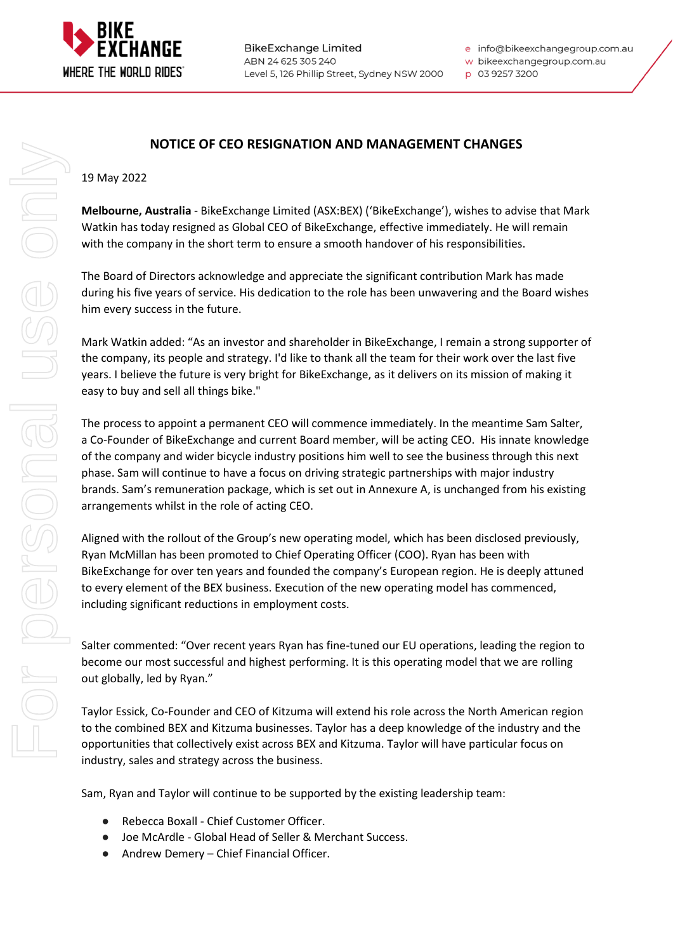

**BikeExchange Limited** ABN 24 625 305 240 Level 5, 126 Phillip Street, Sydney NSW 2000 e info@bikeexchangegroup.com.au

w bikeexchangegroup.com.au

p 03 9257 3200

# **NOTICE OF CEO RESIGNATION AND MANAGEMENT CHANGES**

#### 19 May 2022

**Melbourne, Australia** - BikeExchange Limited (ASX:BEX) ('BikeExchange'), wishes to advise that Mark Watkin has today resigned as Global CEO of BikeExchange, effective immediately. He will remain with the company in the short term to ensure a smooth handover of his responsibilities.

The Board of Directors acknowledge and appreciate the significant contribution Mark has made during his five years of service. His dedication to the role has been unwavering and the Board wishes him every success in the future.

Mark Watkin added: "As an investor and shareholder in BikeExchange, I remain a strong supporter of the company, its people and strategy. I'd like to thank all the team for their work over the last five years. I believe the future is very bright for BikeExchange, as it delivers on its mission of making it easy to buy and sell all things bike."

The process to appoint a permanent CEO will commence immediately. In the meantime Sam Salter, a Co-Founder of BikeExchange and current Board member, will be acting CEO. His innate knowledge of the company and wider bicycle industry positions him well to see the business through this next phase. Sam will continue to have a focus on driving strategic partnerships with major industry brands. Sam's remuneration package, which is set out in Annexure A, is unchanged from his existing arrangements whilst in the role of acting CEO.

Aligned with the rollout of the Group's new operating model, which has been disclosed previously, Ryan McMillan has been promoted to Chief Operating Officer (COO). Ryan has been with BikeExchange for over ten years and founded the company's European region. He is deeply attuned to every element of the BEX business. Execution of the new operating model has commenced, including significant reductions in employment costs.

Salter commented: "Over recent years Ryan has fine-tuned our EU operations, leading the region to become our most successful and highest performing. It is this operating model that we are rolling out globally, led by Ryan."

Taylor Essick, Co-Founder and CEO of Kitzuma will extend his role across the North American region to the combined BEX and Kitzuma businesses. Taylor has a deep knowledge of the industry and the opportunities that collectively exist across BEX and Kitzuma. Taylor will have particular focus on industry, sales and strategy across the business.

Sam, Ryan and Taylor will continue to be supported by the existing leadership team:

- Rebecca Boxall Chief Customer Officer.
- Joe McArdle Global Head of Seller & Merchant Success.
- Andrew Demery Chief Financial Officer.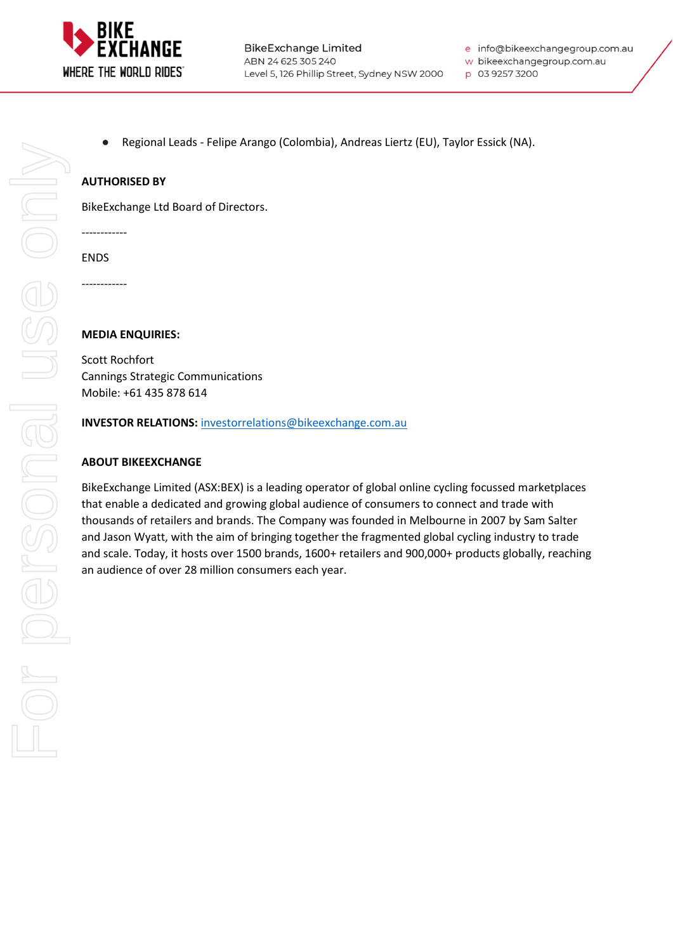

**BikeExchange Limited** ABN 24 625 305 240 Level 5, 126 Phillip Street, Sydney NSW 2000 e info@bikeexchangegroup.com.au

w bikeexchangegroup.com.au

- p 03 9257 3200
- Regional Leads Felipe Arango (Colombia), Andreas Liertz (EU), Taylor Essick (NA).

## **AUTHORISED BY**

BikeExchange Ltd Board of Directors.

------------

ENDS

------------

#### **MEDIA ENQUIRIES:**

Scott Rochfort Cannings Strategic Communications Mobile: +61 435 878 614

**INVESTOR RELATIONS:** [investorrelations@bikeexchange.com.au](about:blank)

#### **ABOUT BIKEEXCHANGE**

BikeExchange Limited (ASX:BEX) is a leading operator of global online cycling focussed marketplaces that enable a dedicated and growing global audience of consumers to connect and trade with thousands of retailers and brands. The Company was founded in Melbourne in 2007 by Sam Salter and Jason Wyatt, with the aim of bringing together the fragmented global cycling industry to trade and scale. Today, it hosts over 1500 brands, 1600+ retailers and 900,000+ products globally, reaching an audience of over 28 million consumers each year.